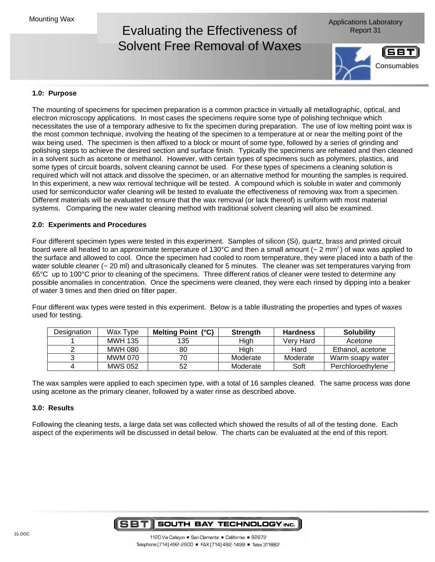### Evaluating the Effectiveness of Report 31 Solvent Free Removal of Waxes

Applications Laboratory



#### **1.0: Purpose**

The mounting of specimens for specimen preparation is a common practice in virtually all metallographic, optical, and electron microscopy applications. In most cases the specimens require some type of polishing technique which necessitates the use of a temporary adhesive to fix the specimen during preparation. The use of low melting point wax is the most common technique, involving the heating of the specimen to a temperature at or near the melting point of the wax being used. The specimen is then affixed to a block or mount of some type, followed by a series of grinding and polishing steps to achieve the desired section and surface finish. Typically the specimens are reheated and then cleaned in a solvent such as acetone or methanol. However, with certain types of specimens such as polymers, plastics, and some types of circuit boards, solvent cleaning cannot be used. For these types of specimens a cleaning solution is required which will not attack and dissolve the specimen, or an alternative method for mounting the samples is required. In this experiment, a new wax removal technique will be tested. A compound which is soluble in water and commonly used for semiconductor wafer cleaning will be tested to evaluate the effectiveness of removing wax from a specimen. Different materials will be evaluated to ensure that the wax removal (or lack thereof) is uniform with most material systems. Comparing the new water cleaning method with traditional solvent cleaning will also be examined.

#### **2.0: Experiments and Procedures**

Four different specimen types were tested in this experiment. Samples of silicon (Si), quartz, brass and printed circuit board were all heated to an approximate temperature of 130°C and then a small amount ( $\sim$  2 mm<sup>2</sup>) of wax was applied to the surface and allowed to cool. Once the specimen had cooled to room temperature, they were placed into a bath of the water soluble cleaner (~ 20 ml) and ultrasonically cleaned for 5 minutes. The cleaner was set temperatures varying from 65°C up to 100°C prior to cleaning of the specimens. Three different ratios of cleaner were tested to determine any possible anomalies in concentration. Once the specimens were cleaned, they were each rinsed by dipping into a beaker of water 3 times and then dried on filter paper.

Four different wax types were tested in this experiment. Below is a table illustrating the properties and types of waxes used for testing.

| Designation | Wax Type       | Melting Point (°C) | <b>Strength</b> | <b>Hardness</b> | <b>Solubility</b> |
|-------------|----------------|--------------------|-----------------|-----------------|-------------------|
|             | <b>MWH 135</b> | 135                | High            | Verv Hard       | Acetone           |
|             | <b>MWH 080</b> | 80                 | High            | Hard            | Ethanol, acetone  |
|             | MWM 070        | 70                 | Moderate        | Moderate        | Warm soapy water  |
|             | <b>MWS 052</b> | 52                 | Moderate        | Soft            | Perchloroethylene |

The wax samples were applied to each specimen type, with a total of 16 samples cleaned. The same process was done using acetone as the primary cleaner, followed by a water rinse as described above.

#### **3.0: Results**

Following the cleaning tests, a large data set was collected which showed the results of all of the testing done. Each aspect of the experiments will be discussed in detail below. The charts can be evaluated at the end of this report.

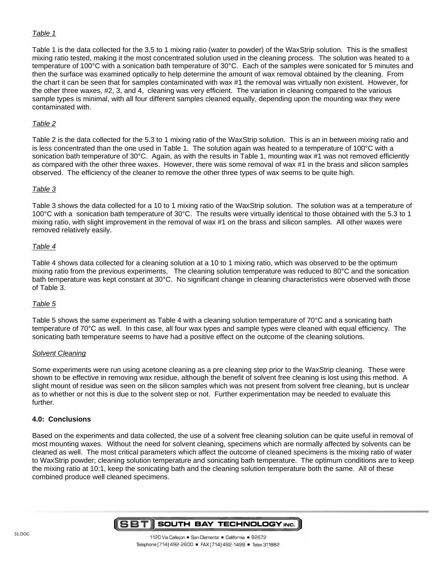#### Table 1

Table 1 is the data collected for the 3.5 to 1 mixing ratio (water to powder) of the WaxStrip solution. This is the smallest mixing ratio tested, making it the most concentrated solution used in the cleaning process. The solution was heated to a temperature of 100°C with a sonication bath temperature of 30°C. Each of the samples were sonicated for 5 minutes and then the surface was examined optically to help determine the amount of wax removal obtained by the cleaning. From the chart it can be seen that for samples contaminated with wax #1 the removal was virtually non existent. However, for the other three waxes, #2, 3, and 4, cleaning was very efficient. The variation in cleaning compared to the various sample types is minimal, with all four different samples cleaned equally, depending upon the mounting wax they were contaminated with.

#### Table 2

Table 2 is the data collected for the 5.3 to 1 mixing ratio of the WaxStrip solution. This is an in between mixing ratio and is less concentrated than the one used in Table 1. The solution again was heated to a temperature of 100°C with a sonication bath temperature of 30°C. Again, as with the results in Table 1, mounting wax #1 was not removed efficiently as compared with the other three waxes. However, there was some removal of wax #1 in the brass and silicon samples observed. The efficiency of the cleaner to remove the other three types of wax seems to be quite high.

#### Table 3

Table 3 shows the data collected for a 10 to 1 mixing ratio of the WaxStrip solution. The solution was at a temperature of 100°C with a sonication bath temperature of 30°C. The results were virtually identical to those obtained with the 5.3 to 1 mixing ratio, with slight improvement in the removal of wax #1 on the brass and silicon samples. All other waxes were removed relatively easily.

#### Table 4

Table 4 shows data collected for a cleaning solution at a 10 to 1 mixing ratio, which was observed to be the optimum mixing ratio from the previous experiments, The cleaning solution temperature was reduced to 80°C and the sonication bath temperature was kept constant at 30°C. No significant change in cleaning characteristics were observed with those of Table 3.

#### Table 5

Table 5 shows the same experiment as Table 4 with a cleaning solution temperature of 70°C and a sonicating bath temperature of 70°C as well. In this case, all four wax types and sample types were cleaned with equal efficiency. The sonicating bath temperature seems to have had a positive effect on the outcome of the cleaning solutions.

#### Solvent Cleaning

Some experiments were run using acetone cleaning as a pre cleaning step prior to the WaxStrip cleaning. These were shown to be effective in removing wax residue, although the benefit of solvent free cleaning is lost using this method. A slight mount of residue was seen on the silicon samples which was not present from solvent free cleaning, but is unclear as to whether or not this is due to the solvent step or not. Further experimentation may be needed to evaluate this further.

#### **4.0: Conclusions**

Based on the experiments and data collected, the use of a solvent free cleaning solution can be quite useful in removal of most mounting waxes. Without the need for solvent cleaning, specimens which are normally affected by solvents can be cleaned as well. The most critical parameters which affect the outcome of cleaned specimens is the mixing ratio of water to WaxStrip powder; cleaning solution temperature and sonicating bath temperature. The optimum conditions are to keep the mixing ratio at 10:1, keep the sonicating bath and the cleaning solution temperature both the same. All of these combined produce well cleaned specimens.

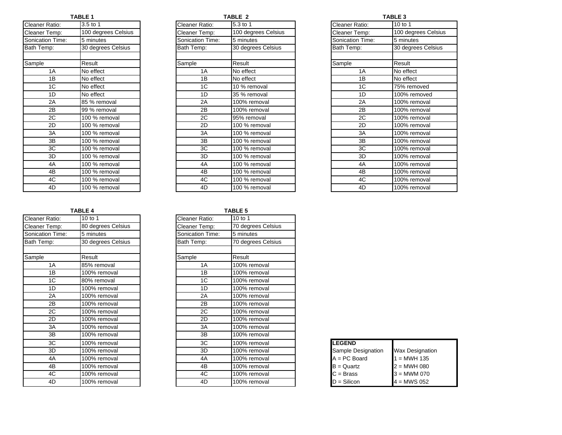| Cleaner Ratio:          | 3.5 to 1            |  |  |
|-------------------------|---------------------|--|--|
| Cleaner Temp:           | 100 degrees Celsius |  |  |
| <b>Sonication Time:</b> | 5 minutes           |  |  |
| Bath Temp:              | 30 degrees Celsius  |  |  |
|                         |                     |  |  |
| Sample                  | Result              |  |  |
| 1A                      | No effect           |  |  |
| 1B                      | No effect           |  |  |
| 1 <sup>C</sup>          | No effect           |  |  |
| 1D                      | No effect           |  |  |
| 2A                      | 85 % removal        |  |  |
| 2B                      | 99 % removal        |  |  |
| 2C                      | 100 % removal       |  |  |
| 2D                      | 100 % removal       |  |  |
| 3A                      | 100 % removal       |  |  |
| 3B                      | 100 % removal       |  |  |
| 3C                      | 100 % removal       |  |  |
| 3D                      | 100 % removal       |  |  |
| 4A                      | 100 % removal       |  |  |
| 4B                      | 100 % removal       |  |  |
| 4C                      | 100 % removal       |  |  |
| 4D                      | 100 % removal       |  |  |

| Ι<br>ı<br>ъ |  |
|-------------|--|
|             |  |

| Cleaner Ratio:   | 3.5 to 1            | Cleaner Ratio:   | 5.3 to 1            | Cleaner Ratio:   | 10 to 1             |
|------------------|---------------------|------------------|---------------------|------------------|---------------------|
| Cleaner Temp:    | 100 degrees Celsius | Cleaner Temp:    | 100 degrees Celsius | Cleaner Temp:    | 100 degrees Celsius |
| Sonication Time: | 5 minutes           | Sonication Time: | 5 minutes           | Sonication Time: | 5 minutes           |
| Bath Temp:       | 30 degrees Celsius  | Bath Temp:       | 30 degrees Celsius  | Bath Temp:       | 30 degrees Celsius  |
| Sample           | Result              | Sample           | Result              | Sample           | Result              |
| 1A               | No effect           | 1A               | No effect           | 1A               | No effect           |
| 1B               | No effect           | 1B               | No effect           | 1B               | No effect           |
| 1C               | No effect           | 1 <sup>C</sup>   | 10 % removal        | 1 <sup>C</sup>   | 75% removed         |
| 1D               | No effect           | 1D               | 35 % removal        | 1D               | 100% removed        |
| 2A               | 85 % removal        | 2A               | 100% removal        | 2A               | 100% removal        |
| 2B               | 99 % removal        | 2B               | 100% removal        | 2B               | 100% removal        |
| 2C               | 100 % removal       | 2C               | 95% removal         | 2C               | 100% removal        |
| 2D               | 100 % removal       | 2D               | 100 % removal       | 2D               | 100% removal        |
| 3A               | 100 % removal       | 3A               | 100 % removal       | 3A               | 100% removal        |
| 3B               | 100 % removal       | 3B               | 100 % removal       | 3B               | 100% removal        |
| 3C               | 100 % removal       | 3C               | 100 % removal       | 3C               | 100% removal        |
| 3D               | 100 % removal       | 3D               | 100 % removal       | 3D               | 100% removal        |
| 4A               | 100 % removal       | 4A               | 100 % removal       | 4A               | 100% removal        |
| 4B               | 100 % removal       | 4B               | 100 % removal       | 4B               | 100% removal        |
| 4C               | 100 % removal       | 4C               | 100 % removal       | 4C               | 100% removal        |
| 4D               | 100 % removal       | 4D               | 100 % removal       | 4D               | 100% removal        |

| TABLE 1             |                  | TABLE 2             |                  | <b>TABLE 3</b>      |  |  |
|---------------------|------------------|---------------------|------------------|---------------------|--|--|
| 3.5 to 1            | Cleaner Ratio:   | 5.3 to 1            | Cleaner Ratio:   | 10 to 1             |  |  |
| 100 degrees Celsius | Cleaner Temp:    | 100 degrees Celsius | Cleaner Temp:    | 100 degrees Celsius |  |  |
| 5 minutes           | Sonication Time: | 5 minutes           | Sonication Time: | 5 minutes           |  |  |
| 30 degrees Celsius  | Bath Temp:       | 30 degrees Celsius  | Bath Temp:       | 30 degrees Celsius  |  |  |
|                     |                  |                     |                  |                     |  |  |
| Result              | Sample           | Result              | Sample           | Result              |  |  |
| No effect           | 1A               | No effect           | 1A               | No effect           |  |  |
| No effect           | 1B               | No effect           | 1B               | No effect           |  |  |
| No effect           | 1 <sup>C</sup>   | 10 % removal        | 1C               | 75% removed         |  |  |
| No effect           | 1D               | 35 % removal        | 1D               | 100% removed        |  |  |
| 85 % removal        | 2A               | 100% removal        | 2A               | 100% removal        |  |  |
| 99 % removal        | 2B               | 100% removal        | 2B               | 100% removal        |  |  |
| 100 % removal       | 2C               | 95% removal         | 2C               | 100% removal        |  |  |
| 100 % removal       | 2D               | 100 % removal       | 2D               | 100% removal        |  |  |
| 100 % removal       | 3A               | 100 % removal       | 3A               | 100% removal        |  |  |
| 100 % removal       | 3B               | 100 % removal       | 3B               | 100% removal        |  |  |
| 100 % removal       | 3C               | 100 % removal       | 3C               | 100% removal        |  |  |
| 100 % removal       | 3D               | 100 % removal       | 3D               | 100% removal        |  |  |
| 100 % removal       | 4A               | 100 % removal       | 4A               | 100% removal        |  |  |
| 100 % removal       | 4B               | 100 % removal       | 4B               | 100% removal        |  |  |
| 100 % removal       | 4C               | 100 % removal       | 4C               | 100% removal        |  |  |
| 100 % removal       | 4D               | 100 % removal       | 4D               | 100% removal        |  |  |

|                  |                    |                  | . סווא             |
|------------------|--------------------|------------------|--------------------|
| Cleaner Ratio:   | 10 to 1            | Cleaner Ratio:   | 10 to 1            |
| Cleaner Temp:    | 80 degrees Celsius | Cleaner Temp:    | 70 degrees Celsius |
| Sonication Time: | 5 minutes          | Sonication Time: | 5 minutes          |
| Bath Temp:       | 30 degrees Celsius | Bath Temp:       | 70 degrees Celsius |
|                  |                    |                  |                    |
| Sample           | Result             | Sample           | Result             |
| 1A               | 85% removal        | 1A               | 100% removal       |
| 1B               | 100% removal       | 1B               | 100% removal       |
| 1C               | 80% removal        | 1 <sup>C</sup>   | 100% removal       |
| 1D               | 100% removal       | 1D               | 100% removal       |
| 2A               | 100% removal       | 2A               | 100% removal       |
| 2B               | 100% removal       | 2B               | 100% removal       |
| 2C               | 100% removal       | 2C               | 100% removal       |
| 2D               | 100% removal       | 2D               | 100% removal       |
| 3A               | 100% removal       | 3A               | 100% removal       |
| 3B               | 100% removal       | 3B               | 100% removal       |
| 3C               | 100% removal       | 3C               | 100% removal       |
| 3D               | 100% removal       | 3D               | 100% removal       |
| 4A               | 100% removal       | 4A               | 100% removal       |
| 4B               | 100% removal       | 4B               | 100% removal       |
| 4C               | 100% removal       | 4C               | 100% removal       |
| 4D               | 100% removal       | 4D               | 100% removal       |

|                 | <b>TABLE 4</b>     |                  | <b>TABLE 5</b>     |                    |                        |
|-----------------|--------------------|------------------|--------------------|--------------------|------------------------|
| रेatio:         | 10 to 1            | Cleaner Ratio:   | 10 to 1            |                    |                        |
| emp:            | 80 degrees Celsius | Cleaner Temp:    | 70 degrees Celsius |                    |                        |
| n Time:         | 5 minutes          | Sonication Time: | 5 minutes          |                    |                        |
| ıp:             | 30 degrees Celsius | Bath Temp:       | 70 degrees Celsius |                    |                        |
|                 | Result             | Sample           | Result             |                    |                        |
| 1A              | 85% removal        | 1A               | 100% removal       |                    |                        |
| 1B              | 100% removal       | 1B               | 100% removal       |                    |                        |
| 1C              | 80% removal        | 1 <sup>C</sup>   | 100% removal       |                    |                        |
| 1D              | 100% removal       | 1D               | 100% removal       |                    |                        |
| 2A              | 100% removal       | 2A               | 100% removal       |                    |                        |
| 2B              | 100% removal       | 2B               | 100% removal       |                    |                        |
| 2C              | 100% removal       | 2C               | 100% removal       |                    |                        |
| 2D              | 100% removal       | 2D               | 100% removal       |                    |                        |
| ЗA              | 100% removal       | 3A               | 100% removal       |                    |                        |
| $\overline{3B}$ | 100% removal       | 3B               | 100% removal       |                    |                        |
| ЗC              | 100% removal       | 3C               | 100% removal       | <b>LEGEND</b>      |                        |
| 3D              | 100% removal       | 3D               | 100% removal       | Sample Designation | <b>Wax Designation</b> |
| 4A              | 100% removal       | 4A               | 100% removal       | $A = PC$ Board     | $1 = MWH 135$          |
| 4B              | 100% removal       | 4B               | 100% removal       | $B =$ Quartz       | $2 = MWH 080$          |
| 4C              | 100% removal       | 4C               | 100% removal       | $C = Bras$         | $3 = MWM 070$          |
| 4D              | 100% removal       | 4D               | 100% removal       | $D = Silicon$      | $4 = MWS 052$          |

| <b>LEGEND</b>      |                        |
|--------------------|------------------------|
| Sample Designation | <b>Wax Designation</b> |
| $A = PC$ Board     | $1 = MWH 135$          |
| $B =$ Quartz       | $2 = MWH 080$          |
| $C = Bras$         | <b>3 = MWM 070</b>     |
| $D =$ Silicon      | $4 = MWS 052$          |